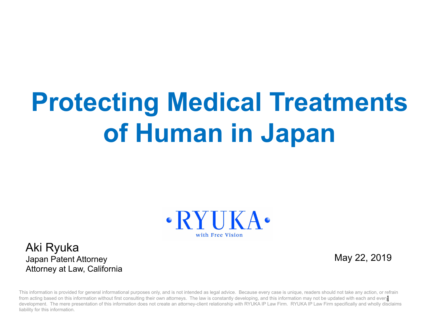# **Protecting Medical Treatments of Human in Japan**



Aki Ryuka Japan Patent Attorney Attorney at Law, California

May 22, 2019

from acting based on this information without first consulting their own attorneys. The law is constantly developing, and this information may not be updated with each and every This information is provided for general informational purposes only, and is not intended as legal advice. Because every case is unique, readers should not take any action, or refrain development. The mere presentation of this information does not create an attorney-client relationship with RYUKA IP Law Firm. RYUKA IP Law Firm specifically and wholly disclaims liability for this information.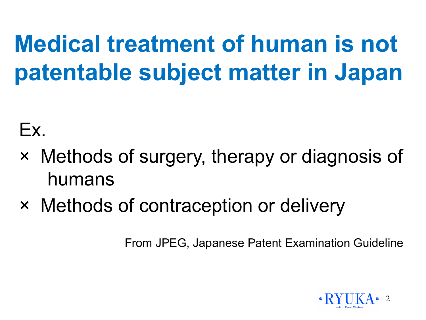# **Medical treatment of human is not patentable subject matter in Japan**

#### Ex.

- × Methods of surgery, therapy or diagnosis of humans
- × Methods of contraception or delivery

From JPEG, Japanese Patent Examination Guideline

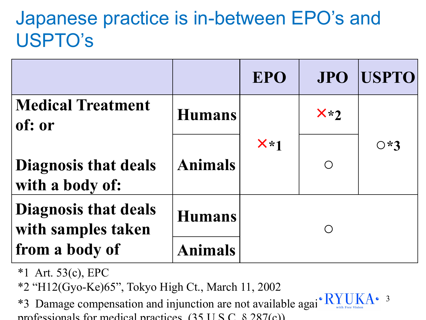#### Japanese practice is in-between EPO's and USPTO's

|                                                   |                | <b>EPO</b> | <b>JPO</b> | <b>USPTO</b> |
|---------------------------------------------------|----------------|------------|------------|--------------|
| <b>Medical Treatment</b><br>of: or                | <b>Humans</b>  |            | $x*2$      |              |
| <b>Diagnosis that deals</b><br>with a body of:    | <b>Animals</b> | $X*1$      | $\bigcirc$ | $O*3$        |
| <b>Diagnosis that deals</b><br>with samples taken | <b>Humans</b>  |            |            |              |
| from a body of                                    | Animals        |            |            |              |

- \*1 Art. 53(c), EPC
- \*2 "H12(Gyo-Ke)65", Tokyo High Ct., March 11, 2002

\*3 Damage compensation and injunction are not available agai<sup>• R</sup><sub>with</sub> professionals for medical practices.  $(35 \text{ H S C} \cdot 8 \cdot 287(c))$ 

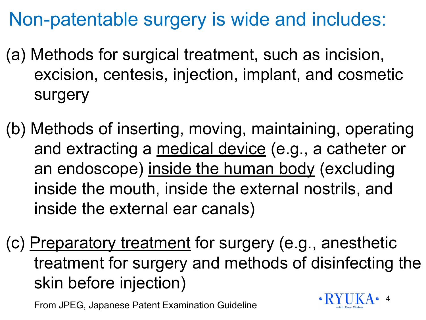#### Non-patentable surgery is wide and includes:

- (a) Methods for surgical treatment, such as incision, excision, centesis, injection, implant, and cosmetic surgery
- (b) Methods of inserting, moving, maintaining, operating and extracting a medical device (e.g., a catheter or an endoscope) inside the human body (excluding inside the mouth, inside the external nostrils, and inside the external ear canals)
- (c) Preparatory treatment for surgery (e.g., anesthetic treatment for surgery and methods of disinfecting the skin before injection)

From JPEG, Japanese Patent Examination Guideline

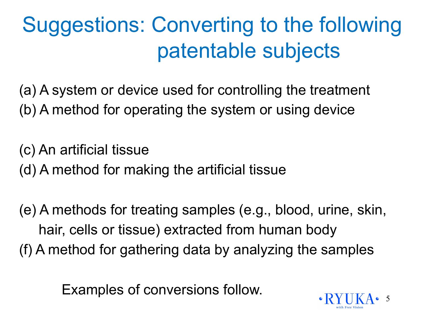## Suggestions: Converting to the following patentable subjects

(a) A system or device used for controlling the treatment (b) A method for operating the system or using device

(c) An artificial tissue (d) A method for making the artificial tissue

(e) A methods for treating samples (e.g., blood, urine, skin, hair, cells or tissue) extracted from human body (f) A method for gathering data by analyzing the samples

Examples of conversions follow.

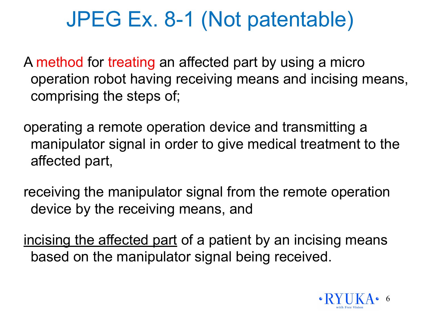#### JPEG Ex. 8-1 (Not patentable)

A method for treating an affected part by using a micro operation robot having receiving means and incising means, comprising the steps of;

operating a remote operation device and transmitting a manipulator signal in order to give medical treatment to the affected part,

receiving the manipulator signal from the remote operation device by the receiving means, and

incising the affected part of a patient by an incising means based on the manipulator signal being received.

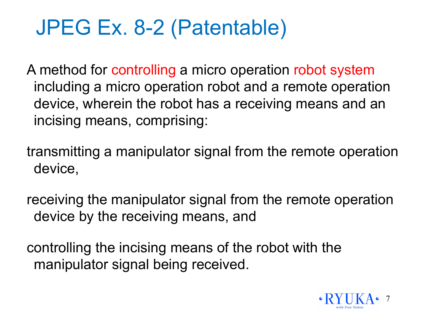## JPEG Ex. 8-2 (Patentable)

A method for controlling a micro operation robot system including a micro operation robot and a remote operation device, wherein the robot has a receiving means and an incising means, comprising:

transmitting a manipulator signal from the remote operation device,

receiving the manipulator signal from the remote operation device by the receiving means, and

controlling the incising means of the robot with the manipulator signal being received.

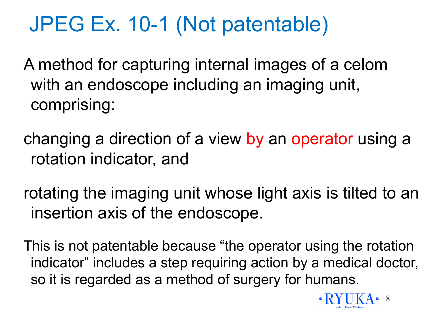## JPEG Ex. 10-1 (Not patentable)

A method for capturing internal images of a celom with an endoscope including an imaging unit, comprising:

changing a direction of a view by an operator using a rotation indicator, and

rotating the imaging unit whose light axis is tilted to an insertion axis of the endoscope.

This is not patentable because "the operator using the rotation indicator" includes a step requiring action by a medical doctor, so it is regarded as a method of surgery for humans.

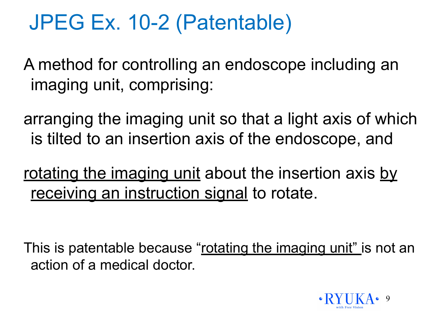#### JPEG Ex. 10-2 (Patentable)

A method for controlling an endoscope including an imaging unit, comprising:

arranging the imaging unit so that a light axis of which is tilted to an insertion axis of the endoscope, and

rotating the imaging unit about the insertion axis by receiving an instruction signal to rotate.

This is patentable because "rotating the imaging unit" is not an action of a medical doctor.

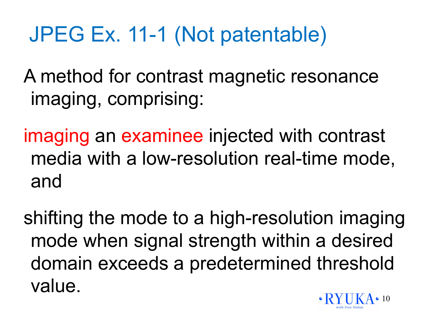## JPEG Ex. 11-1 (Not patentable)

A method for contrast magnetic resonance imaging, comprising:

imaging an examinee injected with contrast media with a low-resolution real-time mode, and

shifting the mode to a high-resolution imaging mode when signal strength within a desired domain exceeds a predetermined threshold value.

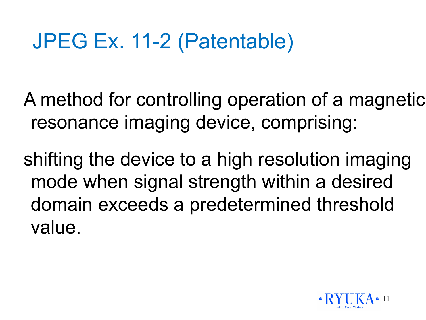## JPEG Ex. 11-2 (Patentable)

A method for controlling operation of a magnetic resonance imaging device, comprising:

shifting the device to a high resolution imaging mode when signal strength within a desired domain exceeds a predetermined threshold value.